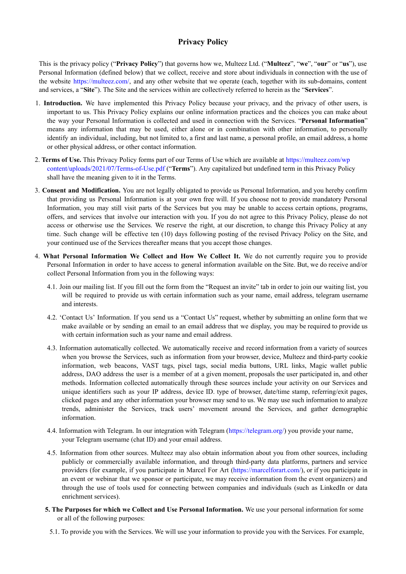# **Privacy Policy**

This is the privacy policy ("**Privacy Policy**") that governs how we, Multeez Ltd. ("**Multeez**", "**we**", "**our**" or "**us**"), use Personal Information (defined below) that we collect, receive and store about individuals in connection with the use of the website https://multeez.com/, and any other website that we operate (each, together with its sub-domains, content and services, a "**Site**"). The Site and the services within are collectively referred to herein as the "**Services**".

- 1. **Introduction.** We have implemented this Privacy Policy because your privacy, and the privacy of other users, is important to us. This Privacy Policy explains our online information practices and the choices you can make about the way your Personal Information is collected and used in connection with the Services. "**Personal Information**" means any information that may be used, either alone or in combination with other information, to personally identify an individual, including, but not limited to, a first and last name, a personal profile, an email address, a home or other physical address, or other contact information.
- 2. **Terms of Use.** This Privacy Policy forms part of our Terms of Use which are available at https://multeez.com/wp content/uploads/2021/07/Terms-of-Use.pdf ("**Terms**"). Any capitalized but undefined term in this Privacy Policy shall have the meaning given to it in the Terms.
- 3. **Consent and Modification.** You are not legally obligated to provide us Personal Information, and you hereby confirm that providing us Personal Information is at your own free will. If you choose not to provide mandatory Personal Information, you may still visit parts of the Services but you may be unable to access certain options, programs, offers, and services that involve our interaction with you. If you do not agree to this Privacy Policy, please do not access or otherwise use the Services. We reserve the right, at our discretion, to change this Privacy Policy at any time. Such change will be effective ten (10) days following posting of the revised Privacy Policy on the Site, and your continued use of the Services thereafter means that you accept those changes.
- 4. **What Personal Information We Collect and How We Collect It.** We do not currently require you to provide Personal Information in order to have access to general information available on the Site. But, we do receive and/or collect Personal Information from you in the following ways:
	- 4.1. Join our mailing list. If you fill out the form from the "Request an invite" tab in order to join our waiting list, you will be required to provide us with certain information such as your name, email address, telegram username and interests.
	- 4.2. 'Contact Us' Information. If you send us a "Contact Us" request, whether by submitting an online form that we make available or by sending an email to an email address that we display, you may be required to provide us with certain information such as your name and email address.
	- 4.3. Information automatically collected. We automatically receive and record information from a variety of sources when you browse the Services, such as information from your browser, device, Multeez and third-party cookie information, web beacons, VAST tags, pixel tags, social media buttons, URL links, Magic wallet public address, DAO address the user is a member of at a given moment, proposals the user participated in, and other methods. Information collected automatically through these sources include your activity on our Services and unique identifiers such as your IP address, device ID. type of browser, date/time stamp, referring/exit pages, clicked pages and any other information your browser may send to us. We may use such information to analyze trends, administer the Services, track users' movement around the Services, and gather demographic information.
	- 4.4. Information with Telegram. In our integration with Telegram (https://telegram.org/) you provide your name, your Telegram username (chat ID) and your email address.
	- 4.5. Information from other sources. Multeez may also obtain information about you from other sources, including publicly or commercially available information, and through third-party data platforms, partners and service providers (for example, if you participate in Marcel For Art (https://marcelforart.com/), or if you participate in an event or webinar that we sponsor or participate, we may receive information from the event organizers) and through the use of tools used for connecting between companies and individuals (such as LinkedIn or data enrichment services).
	- **5. The Purposes for which we Collect and Use Personal Information.** We use your personal information for some or all of the following purposes:
		- 5.1. To provide you with the Services. We will use your information to provide you with the Services. For example,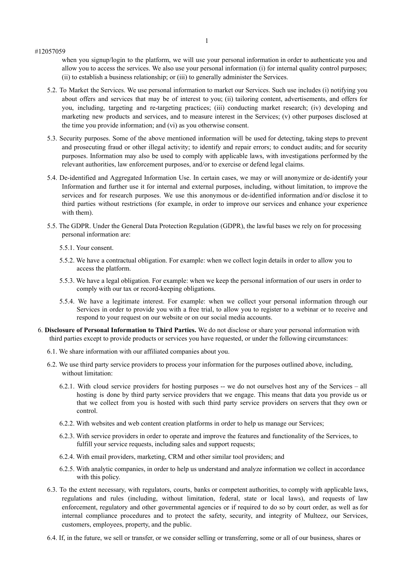#12057059

when you signup/login to the platform, we will use your personal information in order to authenticate you and allow you to access the services. We also use your personal information (i) for internal quality control purposes; (ii) to establish a business relationship; or (iii) to generally administer the Services.

- 5.2. To Market the Services. We use personal information to market our Services. Such use includes (i) notifying you about offers and services that may be of interest to you; (ii) tailoring content, advertisements, and offers for you, including, targeting and re-targeting practices; (iii) conducting market research; (iv) developing and marketing new products and services, and to measure interest in the Services; (v) other purposes disclosed at the time you provide information; and (vi) as you otherwise consent.
- 5.3. Security purposes. Some of the above mentioned information will be used for detecting, taking steps to prevent and prosecuting fraud or other illegal activity; to identify and repair errors; to conduct audits; and for security purposes. Information may also be used to comply with applicable laws, with investigations performed by the relevant authorities, law enforcement purposes, and/or to exercise or defend legal claims.
- 5.4. De-identified and Aggregated Information Use. In certain cases, we may or will anonymize or de-identify your Information and further use it for internal and external purposes, including, without limitation, to improve the services and for research purposes. We use this anonymous or de-identified information and/or disclose it to third parties without restrictions (for example, in order to improve our services and enhance your experience with them).
- 5.5. The GDPR. Under the General Data Protection Regulation (GDPR), the lawful bases we rely on for processing personal information are:
	- 5.5.1. Your consent.
	- 5.5.2. We have a contractual obligation. For example: when we collect login details in order to allow you to access the platform.
	- 5.5.3. We have a legal obligation. For example: when we keep the personal information of our users in order to comply with our tax or record-keeping obligations.
	- 5.5.4. We have a legitimate interest. For example: when we collect your personal information through our Services in order to provide you with a free trial, to allow you to register to a webinar or to receive and respond to your request on our website or on our social media accounts.
- 6. **Disclosure of Personal Information to Third Parties.** We do not disclose or share your personal information with third parties except to provide products or services you have requested, or under the following circumstances:
	- 6.1. We share information with our affiliated companies about you.
	- 6.2. We use third party service providers to process your information for the purposes outlined above, including, without limitation:
		- 6.2.1. With cloud service providers for hosting purposes -- we do not ourselves host any of the Services all hosting is done by third party service providers that we engage. This means that data you provide us or that we collect from you is hosted with such third party service providers on servers that they own or control.
		- 6.2.2. With websites and web content creation platforms in order to help us manage our Services;
		- 6.2.3. With service providers in order to operate and improve the features and functionality of the Services, to fulfill your service requests, including sales and support requests;
		- 6.2.4. With email providers, marketing, CRM and other similar tool providers; and
		- 6.2.5. With analytic companies, in order to help us understand and analyze information we collect in accordance with this policy.
	- 6.3. To the extent necessary, with regulators, courts, banks or competent authorities, to comply with applicable laws, regulations and rules (including, without limitation, federal, state or local laws), and requests of law enforcement, regulatory and other governmental agencies or if required to do so by court order, as well as for internal compliance procedures and to protect the safety, security, and integrity of Multeez, our Services, customers, employees, property, and the public.
	- 6.4. If, in the future, we sell or transfer, or we consider selling or transferring, some or all of our business, shares or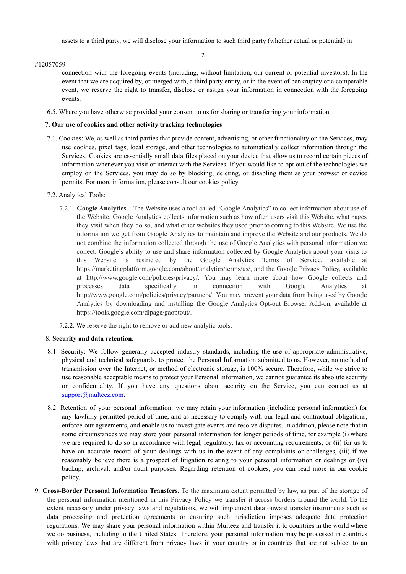assets to a third party, we will disclose your information to such third party (whether actual or potential) in

### #12057059

connection with the foregoing events (including, without limitation, our current or potential investors). In the event that we are acquired by, or merged with, a third party entity, or in the event of bankruptcy or a comparable event, we reserve the right to transfer, disclose or assign your information in connection with the foregoing events.

6.5. Where you have otherwise provided your consent to us for sharing or transferring your information.

### 7. **Our use of cookies and other activity tracking technologies**

- 7.1. Cookies: We, as well as third parties that provide content, advertising, or other functionality on the Services, may use cookies, pixel tags, local storage, and other technologies to automatically collect information through the Services. Cookies are essentially small data files placed on your device that allow us to record certain pieces of information whenever you visit or interact with the Services. If you would like to opt out of the technologies we employ on the Services, you may do so by blocking, deleting, or disabling them as your browser or device permits. For more information, please consult our cookies policy.
- 7.2. Analytical Tools:
	- 7.2.1. **Google Analytics** The Website uses a tool called "Google Analytics" to collect information about use of the Website. Google Analytics collects information such as how often users visit this Website, what pages they visit when they do so, and what other websites they used prior to coming to this Website. We use the information we get from Google Analytics to maintain and improve the Website and our products. We do not combine the information collected through the use of Google Analytics with personal information we collect. Google's ability to use and share information collected by Google Analytics about your visits to this Website is restricted by the Google Analytics Terms of Service, available at https://marketingplatform.google.com/about/analytics/terms/us/, and the Google Privacy Policy, available at http://www.google.com/policies/privacy/. You may learn more about how Google collects and processes data specifically in connection with Google Analytics at http://www.google.com/policies/privacy/partners/. You may prevent your data from being used by Google Analytics by downloading and installing the Google Analytics Opt-out Browser Add-on, available at https://tools.google.com/dlpage/gaoptout/.
	- 7.2.2. We reserve the right to remove or add new analytic tools.

### 8. **Security and data retention**.

- 8.1. Security: We follow generally accepted industry standards, including the use of appropriate administrative, physical and technical safeguards, to protect the Personal Information submitted to us. However, no method of transmission over the Internet, or method of electronic storage, is 100% secure. Therefore, while we strive to use reasonable acceptable means to protect your Personal Information, we cannot guarantee its absolute security or confidentiality. If you have any questions about security on the Service, you can contact us at support@multeez.com.
- 8.2. Retention of your personal information: we may retain your information (including personal information) for any lawfully permitted period of time, and as necessary to comply with our legal and contractual obligations, enforce our agreements, and enable us to investigate events and resolve disputes. In addition, please note that in some circumstances we may store your personal information for longer periods of time, for example (i) where we are required to do so in accordance with legal, regulatory, tax or accounting requirements, or (ii) for us to have an accurate record of your dealings with us in the event of any complaints or challenges, (iii) if we reasonably believe there is a prospect of litigation relating to your personal information or dealings or (iv) backup, archival, and/or audit purposes. Regarding retention of cookies, you can read more in our cookie policy.
- 9. **Cross-Border Personal Information Transfers**. To the maximum extent permitted by law, as part of the storage of the personal information mentioned in this Privacy Policy we transfer it across borders around the world. To the extent necessary under privacy laws and regulations, we will implement data onward transfer instruments such as data processing and protection agreements or ensuring such jurisdiction imposes adequate data protection regulations. We may share your personal information within Multeez and transfer it to countries in the world where we do business, including to the United States. Therefore, your personal information may be processed in countries with privacy laws that are different from privacy laws in your country or in countries that are not subject to an

2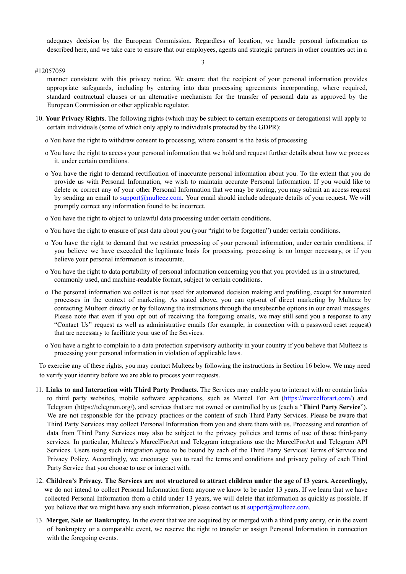adequacy decision by the European Commission. Regardless of location, we handle personal information as described here, and we take care to ensure that our employees, agents and strategic partners in other countries act in a

3

#### #12057059

manner consistent with this privacy notice. We ensure that the recipient of your personal information provides appropriate safeguards, including by entering into data processing agreements incorporating, where required, standard contractual clauses or an alternative mechanism for the transfer of personal data as approved by the European Commission or other applicable regulator.

- 10. **Your Privacy Rights**. The following rights (which may be subject to certain exemptions or derogations) will apply to certain individuals (some of which only apply to individuals protected by the GDPR):
	- o You have the right to withdraw consent to processing, where consent is the basis of processing.
	- o You have the right to access your personal information that we hold and request further details about how we process it, under certain conditions.
	- o You have the right to demand rectification of inaccurate personal information about you. To the extent that you do provide us with Personal Information, we wish to maintain accurate Personal Information. If you would like to delete or correct any of your other Personal Information that we may be storing, you may submit an access request by sending an email to support@multeez.com. Your email should include adequate details of your request. We will promptly correct any information found to be incorrect.
	- o You have the right to object to unlawful data processing under certain conditions.
	- o You have the right to erasure of past data about you (your "right to be forgotten") under certain conditions.
	- o You have the right to demand that we restrict processing of your personal information, under certain conditions, if you believe we have exceeded the legitimate basis for processing, processing is no longer necessary, or if you believe your personal information is inaccurate.
	- o You have the right to data portability of personal information concerning you that you provided us in a structured, commonly used, and machine-readable format, subject to certain conditions.
	- o The personal information we collect is not used for automated decision making and profiling, except for automated processes in the context of marketing. As stated above, you can opt-out of direct marketing by Multeez by contacting Multeez directly or by following the instructions through the unsubscribe options in our email messages. Please note that even if you opt out of receiving the foregoing emails, we may still send you a response to any "Contact Us" request as well as administrative emails (for example, in connection with a password reset request) that are necessary to facilitate your use of the Services.
	- o You have a right to complain to a data protection supervisory authority in your country if you believe that Multeez is processing your personal information in violation of applicable laws.

To exercise any of these rights, you may contact Multeez by following the instructions in Section 16 below. We may need to verify your identity before we are able to process your requests.

- 11. **Links to and Interaction with Third Party Products.** The Services may enable you to interact with or contain links to third party websites, mobile software applications, such as Marcel For Art (https://marcelforart.com/) and Telegram (https://telegram.org/), and services that are not owned or controlled by us (each a "**Third Party Service**"). We are not responsible for the privacy practices or the content of such Third Party Services. Please be aware that Third Party Services may collect Personal Information from you and share them with us. Processing and retention of data from Third Party Services may also be subject to the privacy policies and terms of use of those third-party services. In particular, Multeez's MarcelForArt and Telegram integrations use the MarcelForArt and Telegram API Services. Users using such integration agree to be bound by each of the Third Party Services' Terms of Service and Privacy Policy. Accordingly, we encourage you to read the terms and conditions and privacy policy of each Third Party Service that you choose to use or interact with.
- 12. Children's Privacy. The Services are not structured to attract children under the age of 13 years. Accordingly, **we** do not intend to collect Personal Information from anyone we know to be under 13 years. If we learn that we have collected Personal Information from a child under 13 years, we will delete that information as quickly as possible. If you believe that we might have any such information, please contact us at support@multeez.com.
- 13. **Merger, Sale or Bankruptcy.** In the event that we are acquired by or merged with a third party entity, or in the event of bankruptcy or a comparable event, we reserve the right to transfer or assign Personal Information in connection with the foregoing events.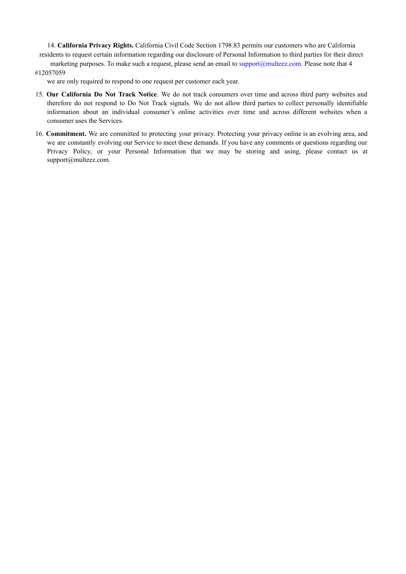14. **California Privacy Rights.** California Civil Code Section 1798.83 permits our customers who are California residents to request certain information regarding our disclosure of Personal Information to third parties for their direct

marketing purposes. To make such a request, please send an email to support@multeez.com. Please note that 4 #12057059

we are only required to respond to one request per customer each year.

- 15. **Our California Do Not Track Notice**. We do not track consumers over time and across third party websites and therefore do not respond to Do Not Track signals. We do not allow third parties to collect personally identifiable information about an individual consumer's online activities over time and across different websites when a consumer uses the Services.
- 16. **Commitment.** We are committed to protecting your privacy. Protecting your privacy online is an evolving area, and we are constantly evolving our Service to meet these demands. If you have any comments or questions regarding our Privacy Policy, or your Personal Information that we may be storing and using, please contact us at support@multeez.com.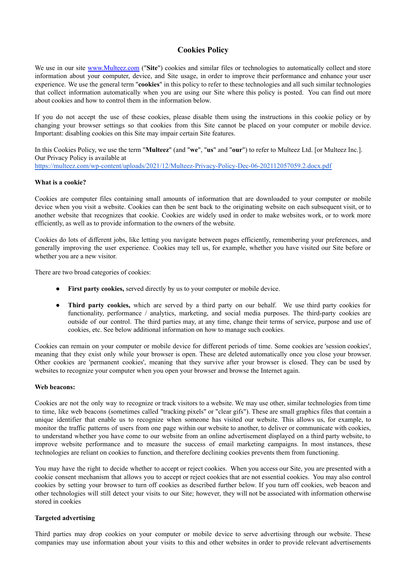# **Cookies Policy**

We use in our site [www.Multeez.com](http://www.multeez.com) ("**Site**") cookies and similar files or technologies to automatically collect and store information about your computer, device, and Site usage, in order to improve their performance and enhance your user experience. We use the general term "**cookies**" in this policy to refer to these technologies and all such similar technologies that collect information automatically when you are using our Site where this policy is posted. You can find out more about cookies and how to control them in the information below.

If you do not accept the use of these cookies, please disable them using the instructions in this cookie policy or by changing your browser settings so that cookies from this Site cannot be placed on your computer or mobile device. Important: disabling cookies on this Site may impair certain Site features.

In this Cookies Policy, we use the term "**Multeez**" (and "**we**", "**us**" and "**our**") to refer to Multeez Ltd. [or Multeez Inc.]. Our Privacy Policy is available at <https://multeez.com/wp-content/uploads/2021/12/Multeez-Privacy-Policy-Dec-06-202112057059.2.docx.pdf>

### **What is a cookie?**

Cookies are computer files containing small amounts of information that are downloaded to your computer or mobile device when you visit a website. Cookies can then be sent back to the originating website on each subsequent visit, or to another website that recognizes that cookie. Cookies are widely used in order to make websites work, or to work more efficiently, as well as to provide information to the owners of the website.

Cookies do lots of different jobs, like letting you navigate between pages efficiently, remembering your preferences, and generally improving the user experience. Cookies may tell us, for example, whether you have visited our Site before or whether you are a new visitor.

There are two broad categories of cookies:

- **First party cookies,** served directly by us to your computer or mobile device.
- **Third party cookies,** which are served by a third party on our behalf. We use third party cookies for functionality, performance / analytics, marketing, and social media purposes. The third-party cookies are outside of our control. The third parties may, at any time, change their terms of service, purpose and use of cookies, etc. See below additional information on how to manage such cookies.

Cookies can remain on your computer or mobile device for different periods of time. Some cookies are 'session cookies', meaning that they exist only while your browser is open. These are deleted automatically once you close your browser. Other cookies are 'permanent cookies', meaning that they survive after your browser is closed. They can be used by websites to recognize your computer when you open your browser and browse the Internet again.

### **Web beacons:**

Cookies are not the only way to recognize or track visitors to a website. We may use other, similar technologies from time to time, like web beacons (sometimes called "tracking pixels" or "clear gifs"). These are small graphics files that contain a unique identifier that enable us to recognize when someone has visited our website. This allows us, for example, to monitor the traffic patterns of users from one page within our website to another, to deliver or communicate with cookies, to understand whether you have come to our website from an online advertisement displayed on a third party website, to improve website performance and to measure the success of email marketing campaigns. In most instances, these technologies are reliant on cookies to function, and therefore declining cookies prevents them from functioning.

You may have the right to decide whether to accept or reject cookies. When you access our Site, you are presented with a cookie consent mechanism that allows you to accept or reject cookies that are not essential cookies. You may also control cookies by setting your browser to turn off cookies as described further below. If you turn off cookies, web beacon and other technologies will still detect your visits to our Site; however, they will not be associated with information otherwise stored in cookies

### **Targeted advertising**

Third parties may drop cookies on your computer or mobile device to serve advertising through our website. These companies may use information about your visits to this and other websites in order to provide relevant advertisements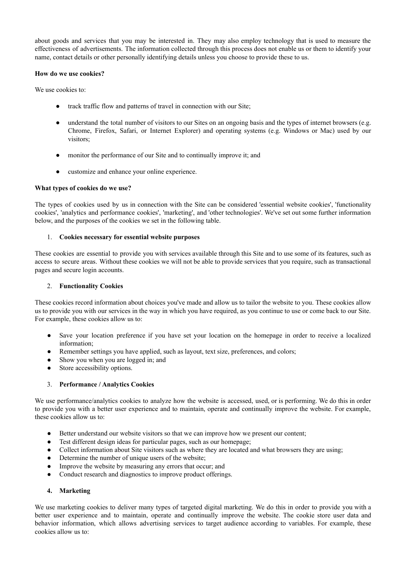about goods and services that you may be interested in. They may also employ technology that is used to measure the effectiveness of advertisements. The information collected through this process does not enable us or them to identify your name, contact details or other personally identifying details unless you choose to provide these to us.

## **How do we use cookies?**

We use cookies to:

- track traffic flow and patterns of travel in connection with our Site;
- understand the total number of visitors to our Sites on an ongoing basis and the types of internet browsers (e.g. Chrome, Firefox, Safari, or Internet Explorer) and operating systems (e.g. Windows or Mac) used by our visitors;
- monitor the performance of our Site and to continually improve it; and
- customize and enhance your online experience.

## **What types of cookies do we use?**

The types of cookies used by us in connection with the Site can be considered 'essential website cookies', 'functionality cookies', 'analytics and performance cookies', 'marketing', and 'other technologies'. We've set out some further information below, and the purposes of the cookies we set in the following table.

## 1. **Cookies necessary for essential website purposes**

These cookies are essential to provide you with services available through this Site and to use some of its features, such as access to secure areas. Without these cookies we will not be able to provide services that you require, such as transactional pages and secure login accounts.

### 2. **Functionality Cookies**

These cookies record information about choices you've made and allow us to tailor the website to you. These cookies allow us to provide you with our services in the way in which you have required, as you continue to use or come back to our Site. For example, these cookies allow us to:

- Save your location preference if you have set your location on the homepage in order to receive a localized information;
- Remember settings you have applied, such as layout, text size, preferences, and colors;
- Show you when you are logged in; and
- Store accessibility options.

## 3. **Performance / Analytics Cookies**

We use performance/analytics cookies to analyze how the website is accessed, used, or is performing. We do this in order to provide you with a better user experience and to maintain, operate and continually improve the website. For example, these cookies allow us to:

- Better understand our website visitors so that we can improve how we present our content;
- Test different design ideas for particular pages, such as our homepage;
- Collect information about Site visitors such as where they are located and what browsers they are using;
- Determine the number of unique users of the website;
- Improve the website by measuring any errors that occur; and
- Conduct research and diagnostics to improve product offerings.

## **4. Marketing**

We use marketing cookies to deliver many types of targeted digital marketing. We do this in order to provide you with a better user experience and to maintain, operate and continually improve the website. The cookie store user data and behavior information, which allows advertising services to target audience according to variables. For example, these cookies allow us to: